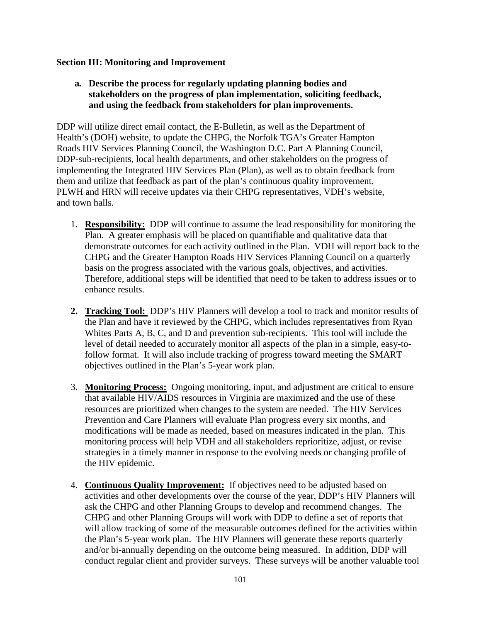#### **Section III: Monitoring and Improvement**

**a. Describe the process for regularly updating planning bodies and stakeholders on the progress of plan implementation, soliciting feedback, and using the feedback from stakeholders for plan improvements.** 

DDP will utilize direct email contact, the E-Bulletin, as well as the Department of Health's (DOH) website, to update the CHPG, the Norfolk TGA's Greater Hampton Roads HIV Services Planning Council, the Washington D.C. Part A Planning Council, DDP-sub-recipients, local health departments, and other stakeholders on the progress of implementing the Integrated HIV Services Plan (Plan), as well as to obtain feedback from them and utilize that feedback as part of the plan's continuous quality improvement. PLWH and HRN will receive updates via their CHPG representatives, VDH's website, and town halls.

- 1. **Responsibility:** DDP will continue to assume the lead responsibility for monitoring the Plan. A greater emphasis will be placed on quantifiable and qualitative data that demonstrate outcomes for each activity outlined in the Plan. VDH will report back to the CHPG and the Greater Hampton Roads HIV Services Planning Council on a quarterly basis on the progress associated with the various goals, objectives, and activities. Therefore, additional steps will be identified that need to be taken to address issues or to enhance results.
- **2. Tracking Tool:** DDP's HIV Planners will develop a tool to track and monitor results of the Plan and have it reviewed by the CHPG, which includes representatives from Ryan Whites Parts A, B, C, and D and prevention sub-recipients. This tool will include the level of detail needed to accurately monitor all aspects of the plan in a simple, easy-tofollow format. It will also include tracking of progress toward meeting the SMART objectives outlined in the Plan's 5-year work plan.
- 3. **Monitoring Process:** Ongoing monitoring, input, and adjustment are critical to ensure that available HIV/AIDS resources in Virginia are maximized and the use of these resources are prioritized when changes to the system are needed. The HIV Services Prevention and Care Planners will evaluate Plan progress every six months, and modifications will be made as needed, based on measures indicated in the plan. This monitoring process will help VDH and all stakeholders reprioritize, adjust, or revise strategies in a timely manner in response to the evolving needs or changing profile of the HIV epidemic.
- 4. **Continuous Quality Improvement:** If objectives need to be adjusted based on activities and other developments over the course of the year, DDP's HIV Planners will ask the CHPG and other Planning Groups to develop and recommend changes. The CHPG and other Planning Groups will work with DDP to define a set of reports that will allow tracking of some of the measurable outcomes defined for the activities within the Plan's 5-year work plan. The HIV Planners will generate these reports quarterly and/or bi-annually depending on the outcome being measured. In addition, DDP will conduct regular client and provider surveys. These surveys will be another valuable tool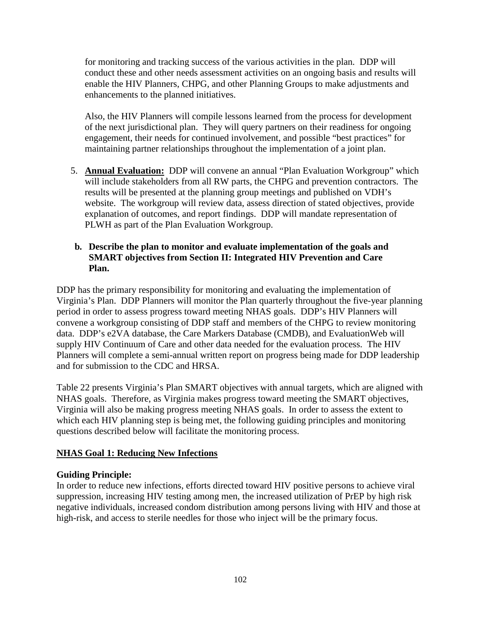for monitoring and tracking success of the various activities in the plan. DDP will conduct these and other needs assessment activities on an ongoing basis and results will enable the HIV Planners, CHPG, and other Planning Groups to make adjustments and enhancements to the planned initiatives.

Also, the HIV Planners will compile lessons learned from the process for development of the next jurisdictional plan. They will query partners on their readiness for ongoing engagement, their needs for continued involvement, and possible "best practices" for maintaining partner relationships throughout the implementation of a joint plan.

5. **Annual Evaluation:** DDP will convene an annual "Plan Evaluation Workgroup" which will include stakeholders from all RW parts, the CHPG and prevention contractors. The results will be presented at the planning group meetings and published on VDH's website. The workgroup will review data, assess direction of stated objectives, provide explanation of outcomes, and report findings. DDP will mandate representation of PLWH as part of the Plan Evaluation Workgroup.

#### **b. Describe the plan to monitor and evaluate implementation of the goals and SMART objectives from Section II: Integrated HIV Prevention and Care Plan.**

DDP has the primary responsibility for monitoring and evaluating the implementation of Virginia's Plan. DDP Planners will monitor the Plan quarterly throughout the five-year planning period in order to assess progress toward meeting NHAS goals. DDP's HIV Planners will convene a workgroup consisting of DDP staff and members of the CHPG to review monitoring data. DDP's e2VA database, the Care Markers Database (CMDB), and EvaluationWeb will supply HIV Continuum of Care and other data needed for the evaluation process. The HIV Planners will complete a semi-annual written report on progress being made for DDP leadership and for submission to the CDC and HRSA.

Table 22 presents Virginia's Plan SMART objectives with annual targets, which are aligned with NHAS goals. Therefore, as Virginia makes progress toward meeting the SMART objectives, Virginia will also be making progress meeting NHAS goals. In order to assess the extent to which each HIV planning step is being met, the following guiding principles and monitoring questions described below will facilitate the monitoring process.

### **NHAS Goal 1: Reducing New Infections**

### **Guiding Principle:**

In order to reduce new infections, efforts directed toward HIV positive persons to achieve viral suppression, increasing HIV testing among men, the increased utilization of PrEP by high risk negative individuals, increased condom distribution among persons living with HIV and those at high-risk, and access to sterile needles for those who inject will be the primary focus.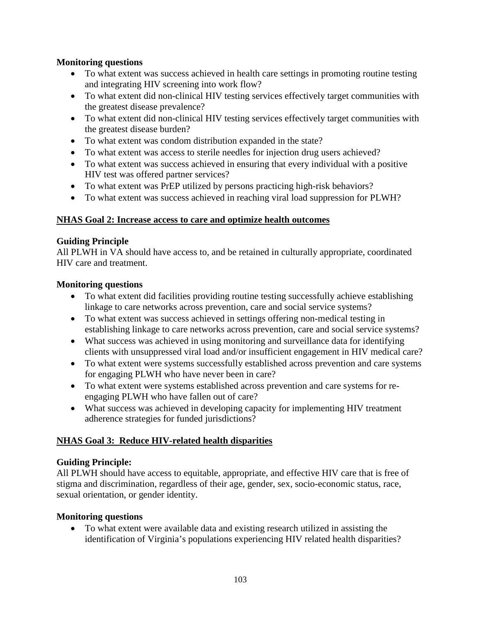## **Monitoring questions**

- To what extent was success achieved in health care settings in promoting routine testing and integrating HIV screening into work flow?
- To what extent did non-clinical HIV testing services effectively target communities with the greatest disease prevalence?
- To what extent did non-clinical HIV testing services effectively target communities with the greatest disease burden?
- To what extent was condom distribution expanded in the state?
- To what extent was access to sterile needles for injection drug users achieved?
- To what extent was success achieved in ensuring that every individual with a positive HIV test was offered partner services?
- To what extent was PrEP utilized by persons practicing high-risk behaviors?
- To what extent was success achieved in reaching viral load suppression for PLWH?

### **NHAS Goal 2: Increase access to care and optimize health outcomes**

### **Guiding Principle**

All PLWH in VA should have access to, and be retained in culturally appropriate, coordinated HIV care and treatment.

### **Monitoring questions**

- To what extent did facilities providing routine testing successfully achieve establishing linkage to care networks across prevention, care and social service systems?
- To what extent was success achieved in settings offering non-medical testing in establishing linkage to care networks across prevention, care and social service systems?
- What success was achieved in using monitoring and surveillance data for identifying clients with unsuppressed viral load and/or insufficient engagement in HIV medical care?
- To what extent were systems successfully established across prevention and care systems for engaging PLWH who have never been in care?
- To what extent were systems established across prevention and care systems for reengaging PLWH who have fallen out of care?
- What success was achieved in developing capacity for implementing HIV treatment adherence strategies for funded jurisdictions?

# **NHAS Goal 3: Reduce HIV-related health disparities**

### **Guiding Principle:**

All PLWH should have access to equitable, appropriate, and effective HIV care that is free of stigma and discrimination, regardless of their age, gender, sex, socio-economic status, race, sexual orientation, or gender identity.

### **Monitoring questions**

• To what extent were available data and existing research utilized in assisting the identification of Virginia's populations experiencing HIV related health disparities?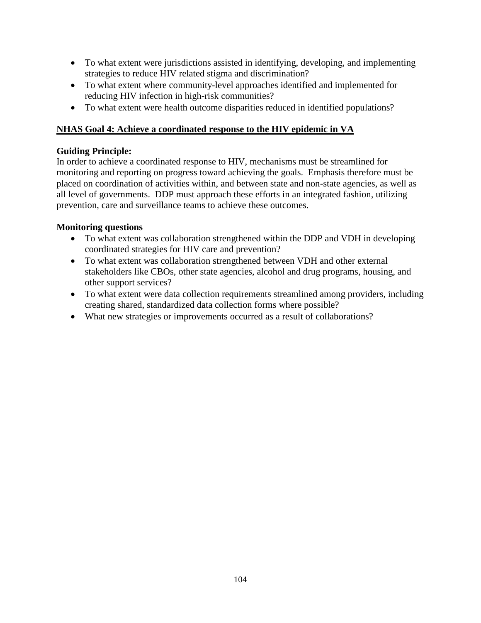- To what extent were jurisdictions assisted in identifying, developing, and implementing strategies to reduce HIV related stigma and discrimination?
- To what extent where community-level approaches identified and implemented for reducing HIV infection in high-risk communities?
- To what extent were health outcome disparities reduced in identified populations?

## **NHAS Goal 4: Achieve a coordinated response to the HIV epidemic in VA**

### **Guiding Principle:**

In order to achieve a coordinated response to HIV, mechanisms must be streamlined for monitoring and reporting on progress toward achieving the goals. Emphasis therefore must be placed on coordination of activities within, and between state and non-state agencies, as well as all level of governments. DDP must approach these efforts in an integrated fashion, utilizing prevention, care and surveillance teams to achieve these outcomes.

## **Monitoring questions**

- To what extent was collaboration strengthened within the DDP and VDH in developing coordinated strategies for HIV care and prevention?
- To what extent was collaboration strengthened between VDH and other external stakeholders like CBOs, other state agencies, alcohol and drug programs, housing, and other support services?
- To what extent were data collection requirements streamlined among providers, including creating shared, standardized data collection forms where possible?
- What new strategies or improvements occurred as a result of collaborations?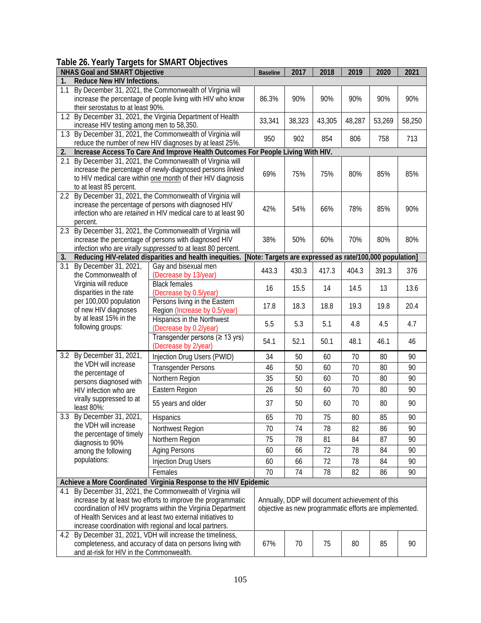# **Table 26. Yearly Targets for SMART Objectives**

| <b>NHAS Goal and SMART Objective</b>                             |                                                                                                                                                                                                                                                                                                                  |                                                                                                                                                                                   | <b>Baseline</b> | 2017                                                                                                      | 2018   | 2019   | 2020   | 2021   |  |
|------------------------------------------------------------------|------------------------------------------------------------------------------------------------------------------------------------------------------------------------------------------------------------------------------------------------------------------------------------------------------------------|-----------------------------------------------------------------------------------------------------------------------------------------------------------------------------------|-----------------|-----------------------------------------------------------------------------------------------------------|--------|--------|--------|--------|--|
| Reduce New HIV Infections.<br>1.                                 |                                                                                                                                                                                                                                                                                                                  |                                                                                                                                                                                   |                 |                                                                                                           |        |        |        |        |  |
| 1.1                                                              | By December 31, 2021, the Commonwealth of Virginia will<br>increase the percentage of people living with HIV who know<br>their serostatus to at least 90%.                                                                                                                                                       |                                                                                                                                                                                   |                 | 90%                                                                                                       | 90%    | 90%    | 90%    | 90%    |  |
|                                                                  | 1.2 By December 31, 2021, the Virginia Department of Health<br>increase HIV testing among men to 58,350.                                                                                                                                                                                                         |                                                                                                                                                                                   |                 | 38,323                                                                                                    | 43,305 | 48,287 | 53,269 | 58,250 |  |
|                                                                  | 1.3 By December 31, 2021, the Commonwealth of Virginia will<br>reduce the number of new HIV diagnoses by at least 25%.                                                                                                                                                                                           |                                                                                                                                                                                   |                 | 902                                                                                                       | 854    | 806    | 758    | 713    |  |
| 2.                                                               | Increase Access To Care And Improve Health Outcomes For People Living With HIV.                                                                                                                                                                                                                                  |                                                                                                                                                                                   |                 |                                                                                                           |        |        |        |        |  |
| 2.1                                                              | By December 31, 2021, the Commonwealth of Virginia will<br>increase the percentage of newly-diagnosed persons linked<br>to HIV medical care within one month of their HIV diagnosis<br>to at least 85 percent.                                                                                                   |                                                                                                                                                                                   | 69%             | 75%                                                                                                       | 75%    | 80%    | 85%    | 85%    |  |
| $2.2^{\circ}$                                                    | percent.                                                                                                                                                                                                                                                                                                         | By December 31, 2021, the Commonwealth of Virginia will<br>increase the percentage of persons with diagnosed HIV<br>infection who are retained in HIV medical care to at least 90 | 42%             | 54%                                                                                                       | 66%    | 78%    | 85%    | 90%    |  |
|                                                                  | 2.3 By December 31, 2021, the Commonwealth of Virginia will<br>increase the percentage of persons with diagnosed HIV<br>infection who are virally suppressed to at least 80 percent.                                                                                                                             |                                                                                                                                                                                   | 38%             | 50%                                                                                                       | 60%    | 70%    | 80%    | 80%    |  |
| 3.                                                               | Reducing HIV-related disparities and health inequities. [Note: Targets are expressed as rate/100,000 population]                                                                                                                                                                                                 |                                                                                                                                                                                   |                 |                                                                                                           |        |        |        |        |  |
| $\overline{3.1}$                                                 | By December 31, 2021,<br>the Commonwealth of<br>Virginia will reduce<br>disparities in the rate<br>per 100,000 population<br>of new HIV diagnoses<br>by at least 15% in the<br>following groups:                                                                                                                 | Gay and bisexual men<br>(Decrease by 13/year)                                                                                                                                     | 443.3           | 430.3                                                                                                     | 417.3  | 404.3  | 391.3  | 376    |  |
|                                                                  |                                                                                                                                                                                                                                                                                                                  | <b>Black females</b><br>(Decrease by 0.5/year)                                                                                                                                    | 16              | 15.5                                                                                                      | 14     | 14.5   | 13     | 13.6   |  |
|                                                                  |                                                                                                                                                                                                                                                                                                                  | Persons living in the Eastern<br>Region (Increase by 0.5/year)                                                                                                                    | 17.8            | 18.3                                                                                                      | 18.8   | 19.3   | 19.8   | 20.4   |  |
|                                                                  |                                                                                                                                                                                                                                                                                                                  | Hispanics in the Northwest<br>(Decrease by 0.2/year)                                                                                                                              | 5.5             | 5.3                                                                                                       | 5.1    | 4.8    | 4.5    | 4.7    |  |
|                                                                  |                                                                                                                                                                                                                                                                                                                  | Transgender persons ( $\geq$ 13 yrs)<br>(Decrease by 2/year)                                                                                                                      | 54.1            | 52.1                                                                                                      | 50.1   | 48.1   | 46.1   | 46     |  |
|                                                                  | 3.2 By December 31, 2021,<br>the VDH will increase<br>the percentage of<br>persons diagnosed with<br>HIV infection who are<br>virally suppressed to at<br>least 80%:                                                                                                                                             | Injection Drug Users (PWID)                                                                                                                                                       | 34              | 50                                                                                                        | 60     | 70     | 80     | 90     |  |
|                                                                  |                                                                                                                                                                                                                                                                                                                  | <b>Transgender Persons</b>                                                                                                                                                        | 46              | 50                                                                                                        | 60     | 70     | 80     | 90     |  |
|                                                                  |                                                                                                                                                                                                                                                                                                                  | Northern Region                                                                                                                                                                   | 35              | 50                                                                                                        | 60     | 70     | 80     | 90     |  |
|                                                                  |                                                                                                                                                                                                                                                                                                                  | Eastern Region                                                                                                                                                                    | 26              | 50                                                                                                        | 60     | 70     | 80     | 90     |  |
|                                                                  |                                                                                                                                                                                                                                                                                                                  | 55 years and older                                                                                                                                                                | 37              | 50                                                                                                        | 60     | 70     | 80     | 90     |  |
| 3.3                                                              | By December 31, 2021,<br>the VDH will increase                                                                                                                                                                                                                                                                   | Hispanics                                                                                                                                                                         | 65              | 70                                                                                                        | 75     | 80     | 85     | 90     |  |
|                                                                  |                                                                                                                                                                                                                                                                                                                  | Northwest Region                                                                                                                                                                  | 70              | 74                                                                                                        | 78     | 82     | 86     | 90     |  |
|                                                                  | the percentage of timely<br>diagnosis to 90%                                                                                                                                                                                                                                                                     | Northern Region                                                                                                                                                                   | 75              | 78                                                                                                        | 81     | 84     | 87     | 90     |  |
|                                                                  | among the following                                                                                                                                                                                                                                                                                              | <b>Aging Persons</b>                                                                                                                                                              | 60              | 66                                                                                                        | 72     | 78     | 84     | 90     |  |
|                                                                  | populations:                                                                                                                                                                                                                                                                                                     | <b>Injection Drug Users</b>                                                                                                                                                       | 60              | 66                                                                                                        | 72     | 78     | 84     | 90     |  |
|                                                                  |                                                                                                                                                                                                                                                                                                                  | Females                                                                                                                                                                           | 70              | 74                                                                                                        | 78     | 82     | 86     | 90     |  |
| Achieve a More Coordinated Virginia Response to the HIV Epidemic |                                                                                                                                                                                                                                                                                                                  |                                                                                                                                                                                   |                 |                                                                                                           |        |        |        |        |  |
| 4.1                                                              | By December 31, 2021, the Commonwealth of Virginia will<br>increase by at least two efforts to improve the programmatic<br>coordination of HIV programs within the Virginia Department<br>of Health Services and at least two external initiatives to<br>increase coordination with regional and local partners. |                                                                                                                                                                                   |                 | Annually, DDP will document achievement of this<br>objective as new programmatic efforts are implemented. |        |        |        |        |  |
|                                                                  | 4.2 By December 31, 2021, VDH will increase the timeliness,<br>completeness, and accuracy of data on persons living with<br>and at-risk for HIV in the Commonwealth.                                                                                                                                             |                                                                                                                                                                                   |                 | 70                                                                                                        | 75     | 80     | 85     | 90     |  |